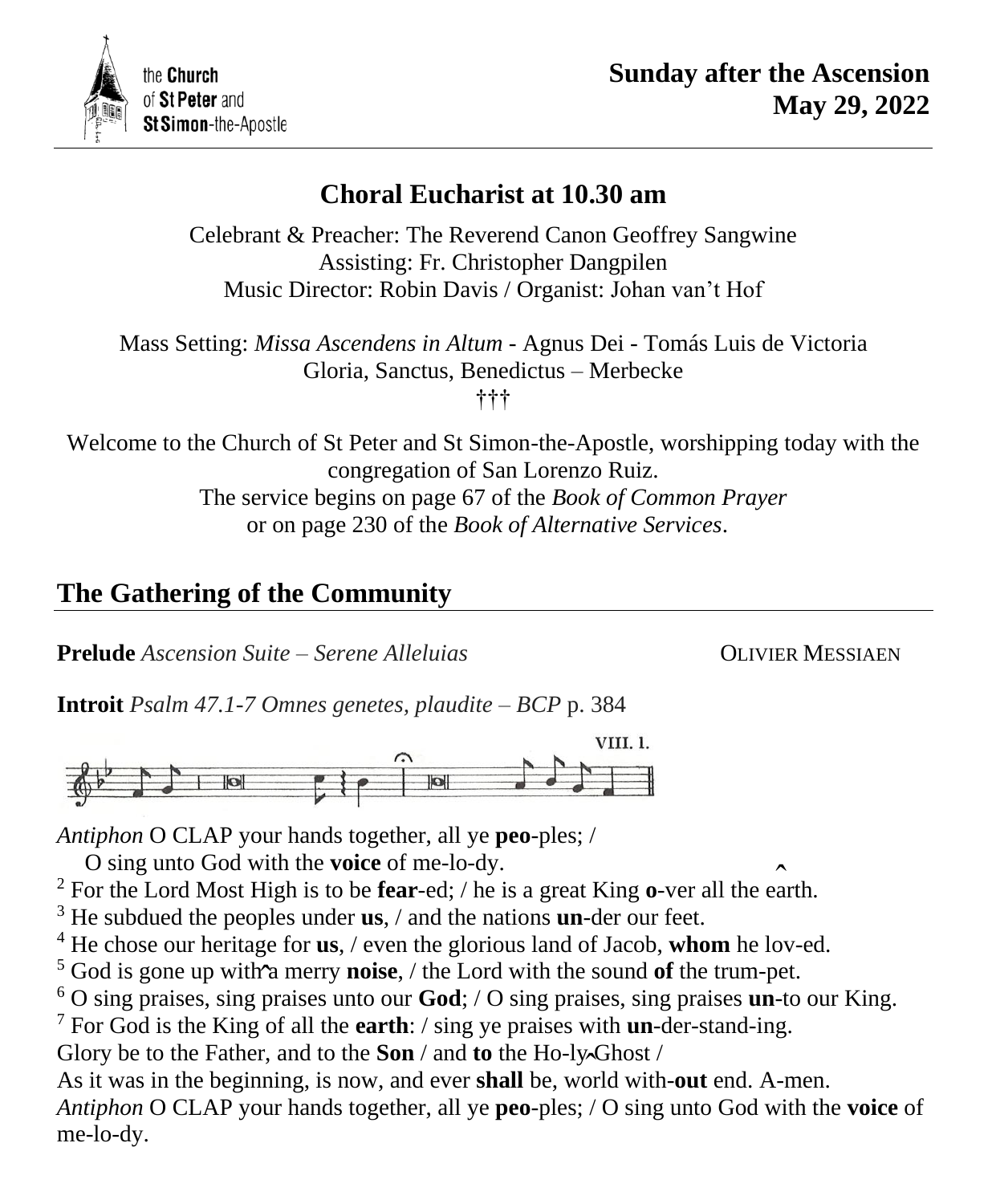

# **Choral Eucharist at 10.30 am**

Celebrant & Preacher: The Reverend Canon Geoffrey Sangwine Assisting: Fr. Christopher Dangpilen Music Director: Robin Davis / Organist: Johan van't Hof

Mass Setting: *Missa Ascendens in Altum* - Agnus Dei - Tomás Luis de Victoria Gloria, Sanctus, Benedictus – Merbecke †††

Welcome to the Church of St Peter and St Simon-the-Apostle, worshipping today with the congregation of San Lorenzo Ruiz. The service begins on page 67 of the *Book of Common Prayer* or on page 230 of the *Book of Alternative Services*.

# **The Gathering of the Community**

**Prelude** *Ascension Suite – Serene Alleluias* OLIVIER MESSIAEN

**Introit** *Psalm 47.1-7 Omnes genetes, plaudite – BCP* p. 384



*Antiphon* O CLAP your hands together, all ye **peo**-ples; /

O sing unto God with the **voice** of me-lo-dy.

<sup>2</sup> For the Lord Most High is to be **fear**-ed; / he is a great King **o**-ver all the earth. ˆ

<sup>3</sup> He subdued the peoples under **us**, / and the nations **un**-der our feet.

<sup>4</sup> He chose our heritage for **us**, / even the glorious land of Jacob, **whom** he lov-ed.

<sup>5</sup> God is gone up with a merry **noise**,  $/$  the Lord with the sound of the trum-pet.<br><sup>6</sup> O sing praises, sing praises upto our **Cod**:  $/$  O sing praises, sing praises up to

<sup>6</sup> O sing praises, sing praises unto our **God**; / O sing praises, sing praises **un**-to our King.

<sup>7</sup> For God is the King of all the **earth**: / sing ye praises with **un**-der-stand-ing.

Glory be to the Father, and to the **Son** / and **to** the Ho-ly Ghost /

Glory be to the Father, and to the **Son** / and **to** the Ho-ly Ghost /<br>As it was in the beginning, is now, and ever **shall** be, world with-**out** end. A-men. *Antiphon* O CLAP your hands together, all ye **peo**-ples; / O sing unto God with the **voice** of me-lo-dy.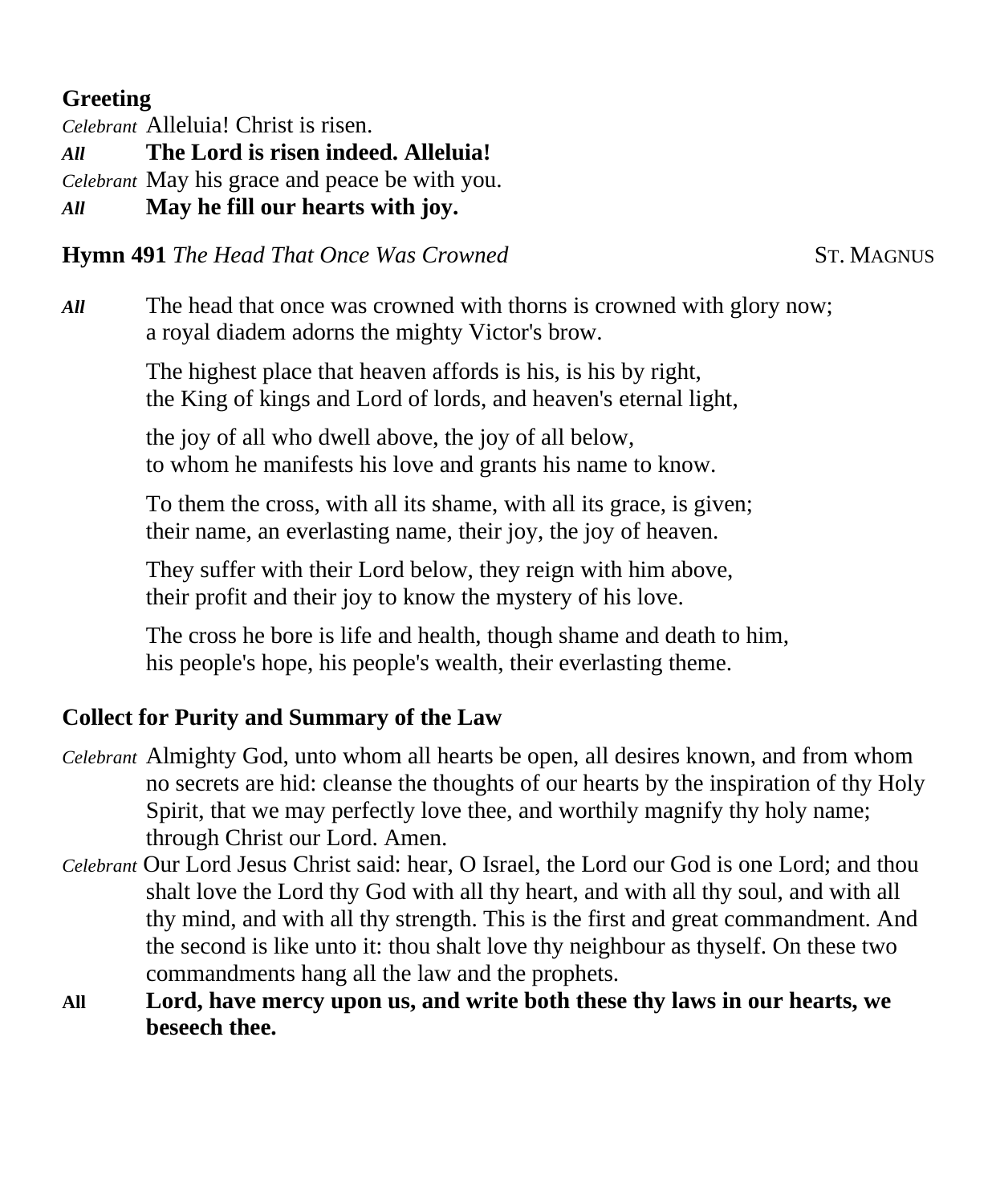## **Greeting**

*Celebrant* Alleluia! Christ is risen.

*All* **The Lord is risen indeed. Alleluia!**

*Celebrant* May his grace and peace be with you.

*All* **May he fill our hearts with joy.**

# **Hymn 491** *The Head That Once Was Crowned* ST. MAGNUS

*All* The head that once was crowned with thorns is crowned with glory now; a royal diadem adorns the mighty Victor's brow.

> The highest place that heaven affords is his, is his by right, the King of kings and Lord of lords, and heaven's eternal light,

the joy of all who dwell above, the joy of all below, to whom he manifests his love and grants his name to know.

To them the cross, with all its shame, with all its grace, is given; their name, an everlasting name, their joy, the joy of heaven.

They suffer with their Lord below, they reign with him above, their profit and their joy to know the mystery of his love.

The cross he bore is life and health, though shame and death to him, his people's hope, his people's wealth, their everlasting theme.

# **Collect for Purity and Summary of the Law**

- *Celebrant* Almighty God, unto whom all hearts be open, all desires known, and from whom no secrets are hid: cleanse the thoughts of our hearts by the inspiration of thy Holy Spirit, that we may perfectly love thee, and worthily magnify thy holy name; through Christ our Lord. Amen.
- *Celebrant* Our Lord Jesus Christ said: hear, O Israel, the Lord our God is one Lord; and thou shalt love the Lord thy God with all thy heart, and with all thy soul, and with all thy mind, and with all thy strength. This is the first and great commandment. And the second is like unto it: thou shalt love thy neighbour as thyself. On these two commandments hang all the law and the prophets.
- **All Lord, have mercy upon us, and write both these thy laws in our hearts, we beseech thee.**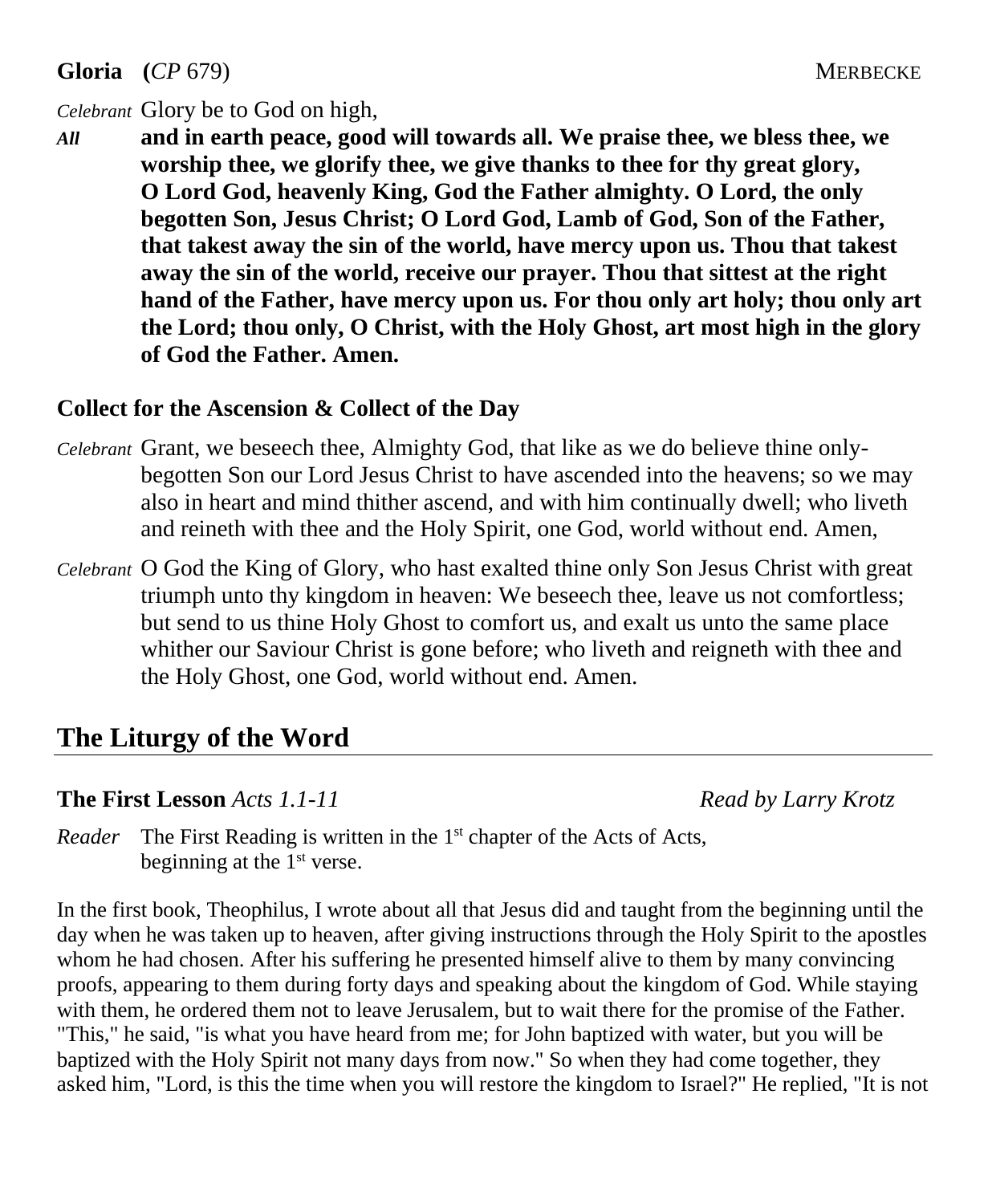**Gloria** (*CP* 679) MERBECKE

#### *Celebrant* Glory be to God on high,

*All* **and in earth peace, good will towards all. We praise thee, we bless thee, we worship thee, we glorify thee, we give thanks to thee for thy great glory, O Lord God, heavenly King, God the Father almighty. O Lord, the only begotten Son, Jesus Christ; O Lord God, Lamb of God, Son of the Father, that takest away the sin of the world, have mercy upon us. Thou that takest away the sin of the world, receive our prayer. Thou that sittest at the right hand of the Father, have mercy upon us. For thou only art holy; thou only art the Lord; thou only, O Christ, with the Holy Ghost, art most high in the glory of God the Father. Amen.**

#### **Collect for the Ascension & Collect of the Day**

- *Celebrant* Grant, we beseech thee, Almighty God, that like as we do believe thine onlybegotten Son our Lord Jesus Christ to have ascended into the heavens; so we may also in heart and mind thither ascend, and with him continually dwell; who liveth and reineth with thee and the Holy Spirit, one God, world without end. Amen,
- *Celebrant* O God the King of Glory, who hast exalted thine only Son Jesus Christ with great triumph unto thy kingdom in heaven: We beseech thee, leave us not comfortless; but send to us thine Holy Ghost to comfort us, and exalt us unto the same place whither our Saviour Christ is gone before; who liveth and reigneth with thee and the Holy Ghost, one God, world without end. Amen.

# **The Liturgy of the Word**

#### **The First Lesson** *Acts 1.1-11 Read by Larry Krotz*

Reader The First Reading is written in the 1<sup>st</sup> chapter of the Acts of Acts, beginning at the  $1<sup>st</sup>$  verse.

In the first book, Theophilus, I wrote about all that Jesus did and taught from the beginning until the day when he was taken up to heaven, after giving instructions through the Holy Spirit to the apostles whom he had chosen. After his suffering he presented himself alive to them by many convincing proofs, appearing to them during forty days and speaking about the kingdom of God. While staying with them, he ordered them not to leave Jerusalem, but to wait there for the promise of the Father. "This," he said, "is what you have heard from me; for John baptized with water, but you will be baptized with the Holy Spirit not many days from now." So when they had come together, they asked him, "Lord, is this the time when you will restore the kingdom to Israel?" He replied, "It is not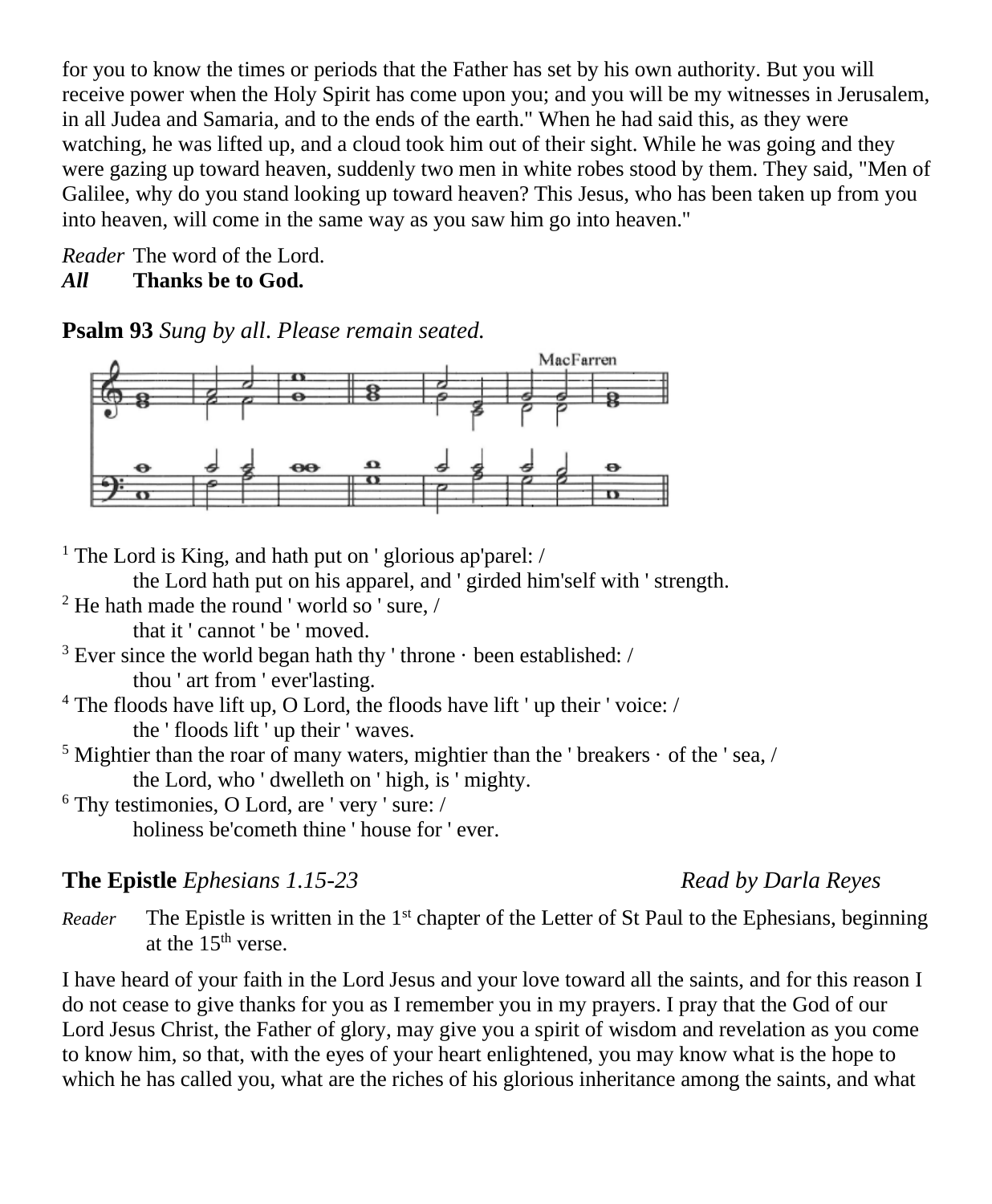for you to know the times or periods that the Father has set by his own authority. But you will receive power when the Holy Spirit has come upon you; and you will be my witnesses in Jerusalem, in all Judea and Samaria, and to the ends of the earth." When he had said this, as they were watching, he was lifted up, and a cloud took him out of their sight. While he was going and they were gazing up toward heaven, suddenly two men in white robes stood by them. They said, "Men of Galilee, why do you stand looking up toward heaven? This Jesus, who has been taken up from you into heaven, will come in the same way as you saw him go into heaven."

*Reader* The word of the Lord. *All* **Thanks be to God.**

**Psalm 93** *Sung by all*. *Please remain seated.*



<sup>1</sup> The Lord is King, and hath put on 'glorious ap'parel: /

the Lord hath put on his apparel, and ' girded him'self with ' strength.

<sup>2</sup> He hath made the round ' world so ' sure, /

that it ' cannot ' be ' moved.

- $3$  Ever since the world began hath thy 'throne  $\cdot$  been established: / thou ' art from ' ever'lasting.
- <sup>4</sup> The floods have lift up, O Lord, the floods have lift ' up their ' voice: / the ' floods lift ' up their ' waves.
- $<sup>5</sup>$  Mightier than the roar of many waters, mightier than the ' breakers  $\cdot$  of the ' sea, /</sup> the Lord, who ' dwelleth on ' high, is ' mighty.
- $6$  Thy testimonies, O Lord, are ' very ' sure: / holiness be'cometh thine ' house for ' ever.

### **The Epistle** *Ephesians 1.15-23 Read by Darla Reyes*

Reader The Epistle is written in the 1<sup>st</sup> chapter of the Letter of St Paul to the Ephesians, beginning at the  $15<sup>th</sup>$  verse.

I have heard of your faith in the Lord Jesus and your love toward all the saints, and for this reason I do not cease to give thanks for you as I remember you in my prayers. I pray that the God of our Lord Jesus Christ, the Father of glory, may give you a spirit of wisdom and revelation as you come to know him, so that, with the eyes of your heart enlightened, you may know what is the hope to which he has called you, what are the riches of his glorious inheritance among the saints, and what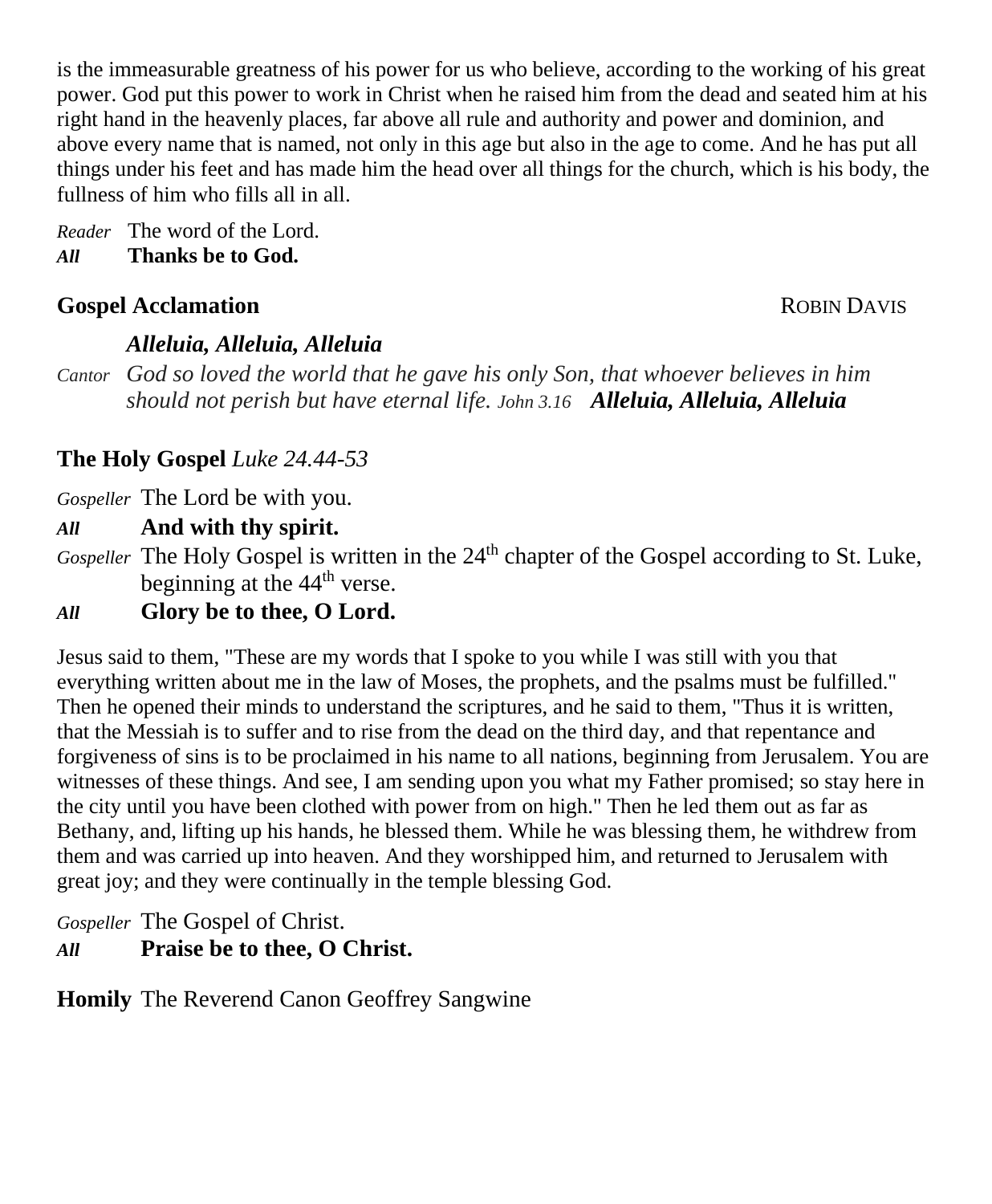is the immeasurable greatness of his power for us who believe, according to the working of his great power. God put this power to work in Christ when he raised him from the dead and seated him at his right hand in the heavenly places, far above all rule and authority and power and dominion, and above every name that is named, not only in this age but also in the age to come. And he has put all things under his feet and has made him the head over all things for the church, which is his body, the fullness of him who fills all in all.

*Reader* The word of the Lord. *All* **Thanks be to God.**

#### **Gospel Acclamation ROBIN DAVIS**

#### *Alleluia, Alleluia, Alleluia*

*Cantor God so loved the world that he gave his only Son, that whoever believes in him should not perish but have eternal life. John 3.16 Alleluia, Alleluia, Alleluia*

#### **The Holy Gospel** *Luke 24.44-53*

*Gospeller* The Lord be with you.

#### *All* **And with thy spirit.**

Gospeller The Holy Gospel is written in the 24<sup>th</sup> chapter of the Gospel according to St. Luke, beginning at the 44<sup>th</sup> verse.

#### *All* **Glory be to thee, O Lord.**

Jesus said to them, "These are my words that I spoke to you while I was still with you that everything written about me in the law of Moses, the prophets, and the psalms must be fulfilled." Then he opened their minds to understand the scriptures, and he said to them, "Thus it is written, that the Messiah is to suffer and to rise from the dead on the third day, and that repentance and forgiveness of sins is to be proclaimed in his name to all nations, beginning from Jerusalem. You are witnesses of these things. And see, I am sending upon you what my Father promised; so stay here in the city until you have been clothed with power from on high." Then he led them out as far as Bethany, and, lifting up his hands, he blessed them. While he was blessing them, he withdrew from them and was carried up into heaven. And they worshipped him, and returned to Jerusalem with great joy; and they were continually in the temple blessing God.

*Gospeller* The Gospel of Christ. *All* **Praise be to thee, O Christ.**

**Homily** The Reverend Canon Geoffrey Sangwine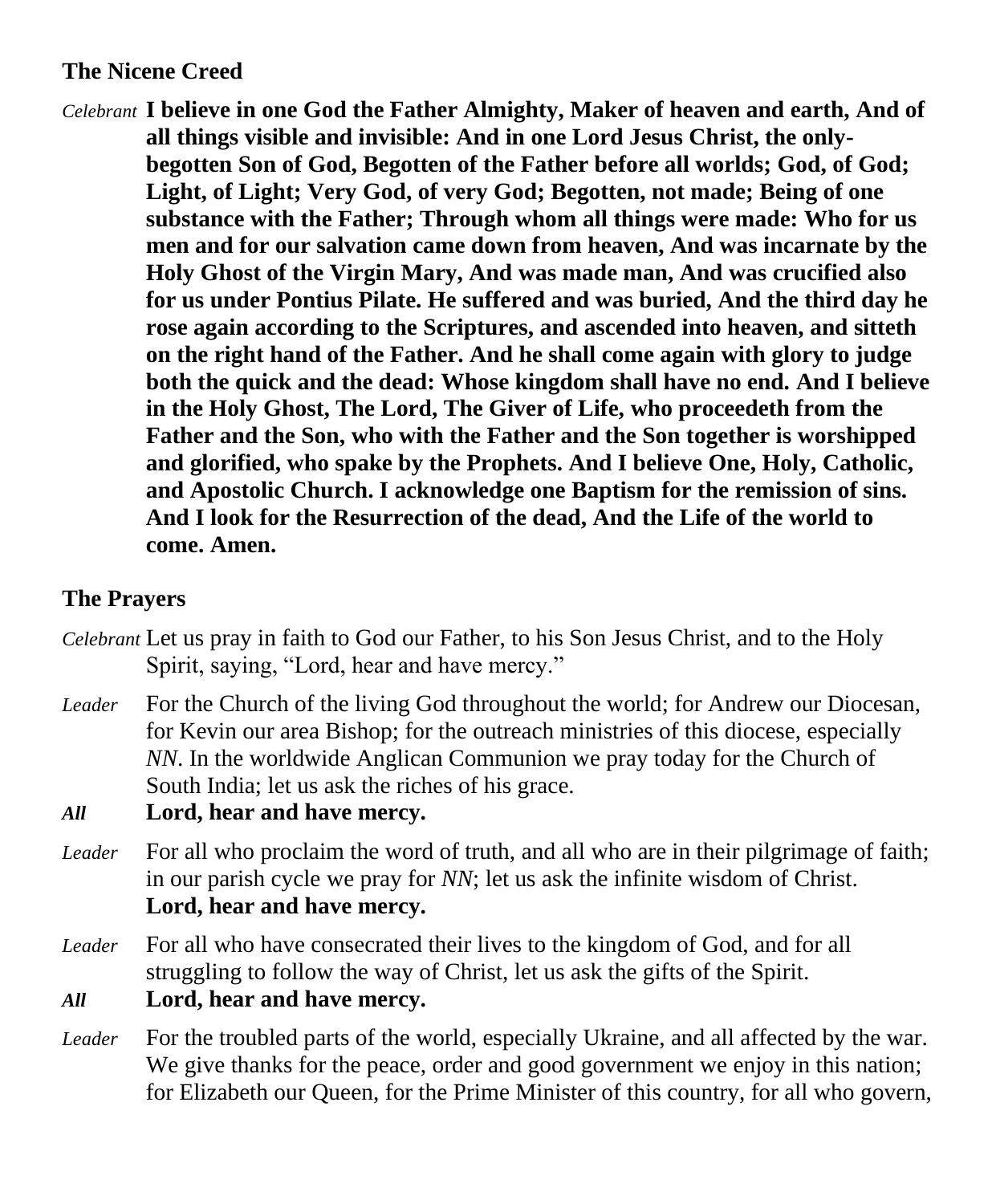#### **The Nicene Creed**

*Celebrant* **I believe in one God the Father Almighty, Maker of heaven and earth, And of all things visible and invisible: And in one Lord Jesus Christ, the onlybegotten Son of God, Begotten of the Father before all worlds; God, of God; Light, of Light; Very God, of very God; Begotten, not made; Being of one substance with the Father; Through whom all things were made: Who for us men and for our salvation came down from heaven, And was incarnate by the Holy Ghost of the Virgin Mary, And was made man, And was crucified also for us under Pontius Pilate. He suffered and was buried, And the third day he rose again according to the Scriptures, and ascended into heaven, and sitteth on the right hand of the Father. And he shall come again with glory to judge both the quick and the dead: Whose kingdom shall have no end. And I believe in the Holy Ghost, The Lord, The Giver of Life, who proceedeth from the Father and the Son, who with the Father and the Son together is worshipped and glorified, who spake by the Prophets. And I believe One, Holy, Catholic, and Apostolic Church. I acknowledge one Baptism for the remission of sins. And I look for the Resurrection of the dead, And the Life of the world to come. Amen.**

#### **The Prayers**

- *Celebrant* Let us pray in faith to God our Father, to his Son Jesus Christ, and to the Holy Spirit, saying, "Lord, hear and have mercy."
- *Leader* For the Church of the living God throughout the world; for Andrew our Diocesan, for Kevin our area Bishop; for the outreach ministries of this diocese, especially *NN*. In the worldwide Anglican Communion we pray today for the Church of South India; let us ask the riches of his grace.

*All* **Lord, hear and have mercy.**

- *Leader* For all who proclaim the word of truth, and all who are in their pilgrimage of faith; in our parish cycle we pray for *NN*; let us ask the infinite wisdom of Christ. **Lord, hear and have mercy.**
- *Leader* For all who have consecrated their lives to the kingdom of God, and for all struggling to follow the way of Christ, let us ask the gifts of the Spirit.

*All* **Lord, hear and have mercy.**

*Leader* For the troubled parts of the world, especially Ukraine, and all affected by the war. We give thanks for the peace, order and good government we enjoy in this nation; for Elizabeth our Queen, for the Prime Minister of this country, for all who govern,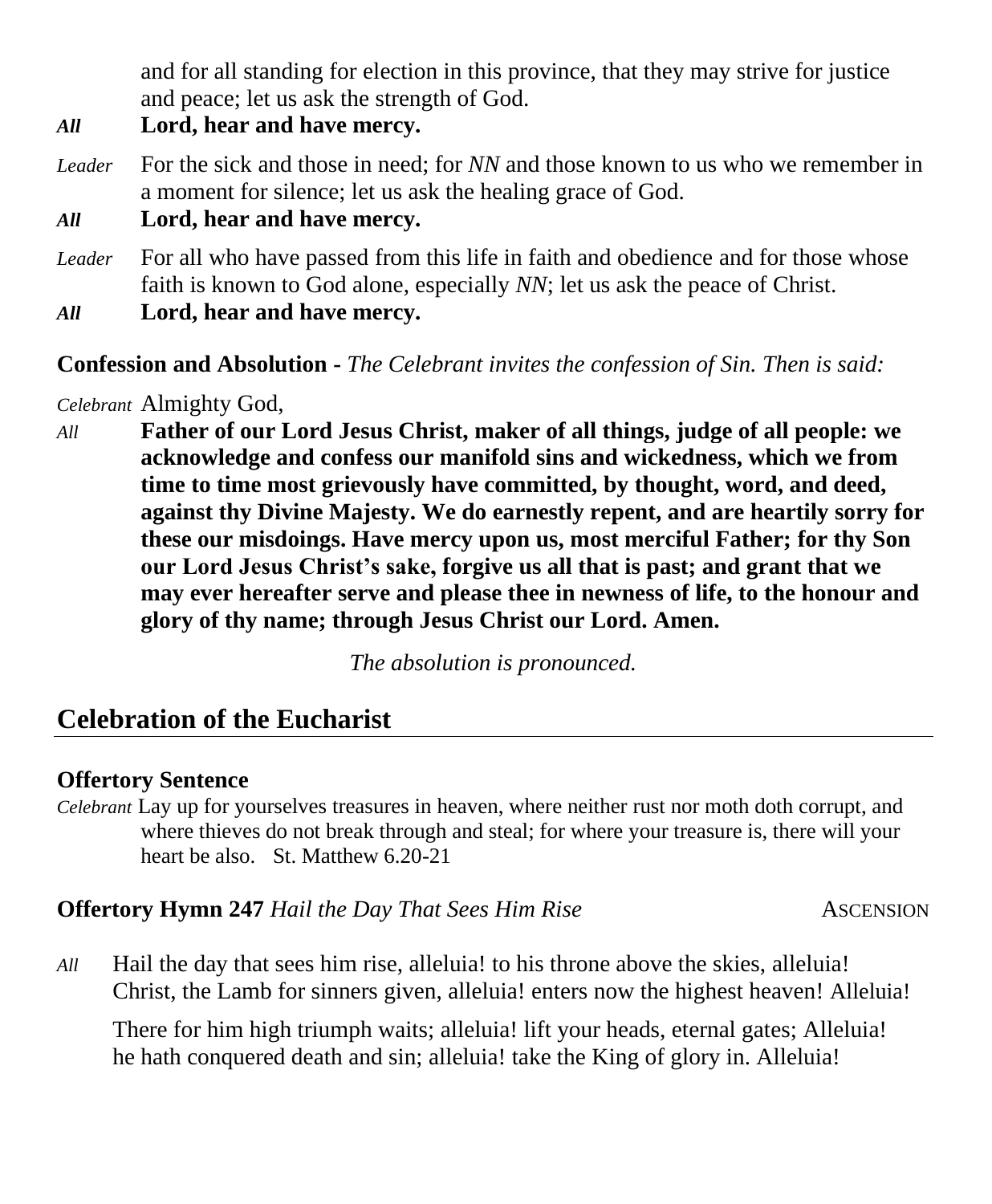and for all standing for election in this province, that they may strive for justice and peace; let us ask the strength of God.

- *All* **Lord, hear and have mercy.**
- *Leader* For the sick and those in need; for *NN* and those known to us who we remember in a moment for silence; let us ask the healing grace of God.

*All* **Lord, hear and have mercy.**

- *Leader* For all who have passed from this life in faith and obedience and for those whose faith is known to God alone, especially *NN*; let us ask the peace of Christ.
- *All* **Lord, hear and have mercy.**

**Confession and Absolution -** *The Celebrant invites the confession of Sin. Then is said:*

*Celebrant* Almighty God,

*All* **Father of our Lord Jesus Christ, maker of all things, judge of all people: we acknowledge and confess our manifold sins and wickedness, which we from time to time most grievously have committed, by thought, word, and deed, against thy Divine Majesty. We do earnestly repent, and are heartily sorry for these our misdoings. Have mercy upon us, most merciful Father; for thy Son our Lord Jesus Christ's sake, forgive us all that is past; and grant that we may ever hereafter serve and please thee in newness of life, to the honour and glory of thy name; through Jesus Christ our Lord. Amen.**

*The absolution is pronounced.*

# **Celebration of the Eucharist**

#### **Offertory Sentence**

*Celebrant* Lay up for yourselves treasures in heaven, where neither rust nor moth doth corrupt, and where thieves do not break through and steal; for where your treasure is, there will your heart be also. St. Matthew 6.20-21

**Offertory Hymn 247** *Hail the Day That Sees Him Rise* ASCENSION

*All* Hail the day that sees him rise, alleluia! to his throne above the skies, alleluia! Christ, the Lamb for sinners given, alleluia! enters now the highest heaven! Alleluia!

There for him high triumph waits; alleluia! lift your heads, eternal gates; Alleluia! he hath conquered death and sin; alleluia! take the King of glory in. Alleluia!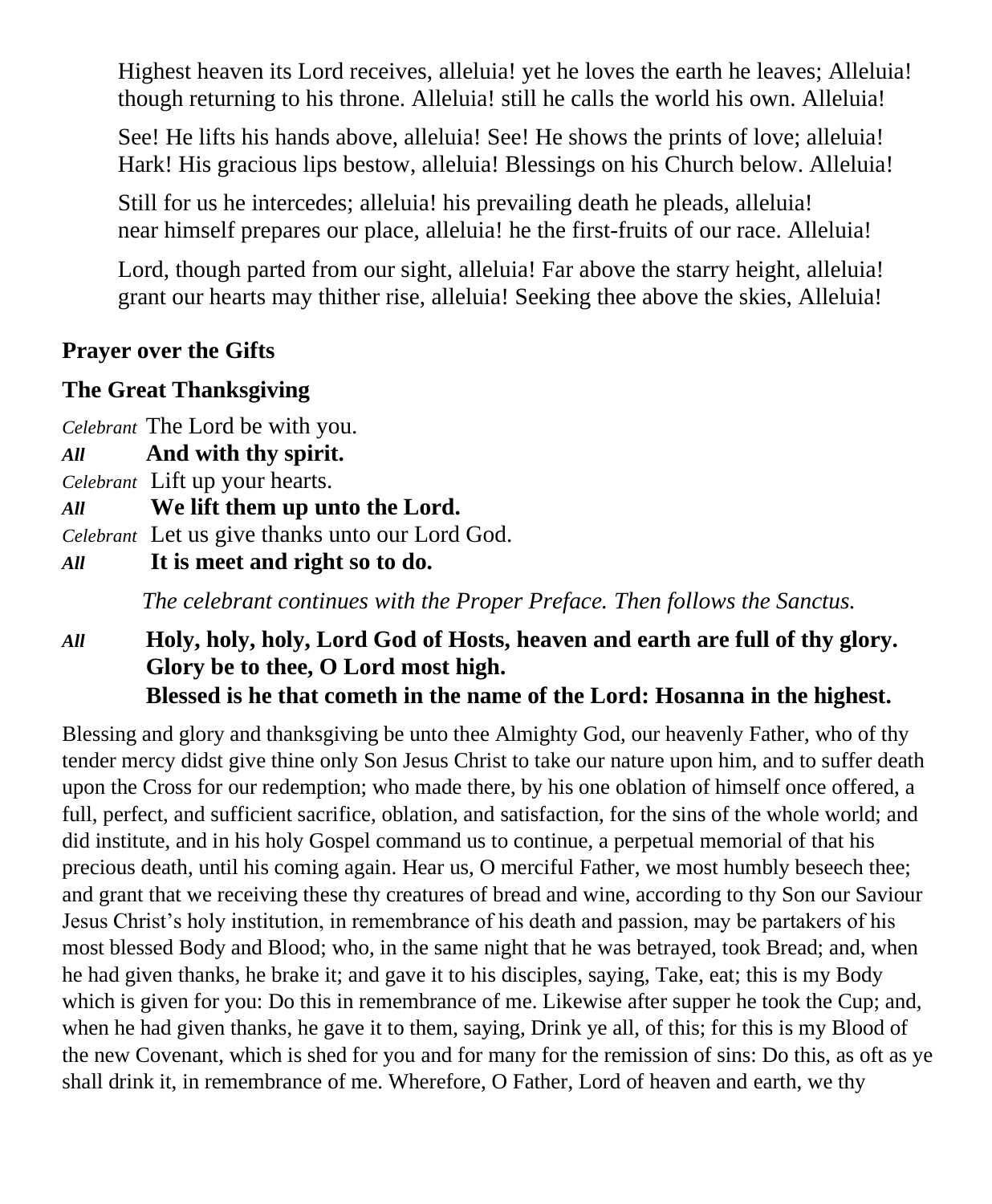Highest heaven its Lord receives, alleluia! yet he loves the earth he leaves; Alleluia! though returning to his throne. Alleluia! still he calls the world his own. Alleluia!

See! He lifts his hands above, alleluia! See! He shows the prints of love; alleluia! Hark! His gracious lips bestow, alleluia! Blessings on his Church below. Alleluia!

Still for us he intercedes; alleluia! his prevailing death he pleads, alleluia! near himself prepares our place, alleluia! he the first-fruits of our race. Alleluia!

Lord, though parted from our sight, alleluia! Far above the starry height, alleluia! grant our hearts may thither rise, alleluia! Seeking thee above the skies, Alleluia!

#### **Prayer over the Gifts**

#### **The Great Thanksgiving**

*Celebrant* The Lord be with you.

- *All* **And with thy spirit.**
- *Celebrant* Lift up your hearts.
- *All* **We lift them up unto the Lord.**

*Celebrant* Let us give thanks unto our Lord God.

*All* **It is meet and right so to do.**

*The celebrant continues with the Proper Preface. Then follows the Sanctus.*

#### *All* **Holy, holy, holy, Lord God of Hosts, heaven and earth are full of thy glory. Glory be to thee, O Lord most high. Blessed is he that cometh in the name of the Lord: Hosanna in the highest.**

Blessing and glory and thanksgiving be unto thee Almighty God, our heavenly Father, who of thy tender mercy didst give thine only Son Jesus Christ to take our nature upon him, and to suffer death upon the Cross for our redemption; who made there, by his one oblation of himself once offered, a full, perfect, and sufficient sacrifice, oblation, and satisfaction, for the sins of the whole world; and did institute, and in his holy Gospel command us to continue, a perpetual memorial of that his precious death, until his coming again. Hear us, O merciful Father, we most humbly beseech thee; and grant that we receiving these thy creatures of bread and wine, according to thy Son our Saviour Jesus Christ's holy institution, in remembrance of his death and passion, may be partakers of his most blessed Body and Blood; who, in the same night that he was betrayed, took Bread; and, when he had given thanks, he brake it; and gave it to his disciples, saying, Take, eat; this is my Body which is given for you: Do this in remembrance of me. Likewise after supper he took the Cup; and, when he had given thanks, he gave it to them, saying, Drink ye all, of this; for this is my Blood of the new Covenant, which is shed for you and for many for the remission of sins: Do this, as oft as ye shall drink it, in remembrance of me. Wherefore, O Father, Lord of heaven and earth, we thy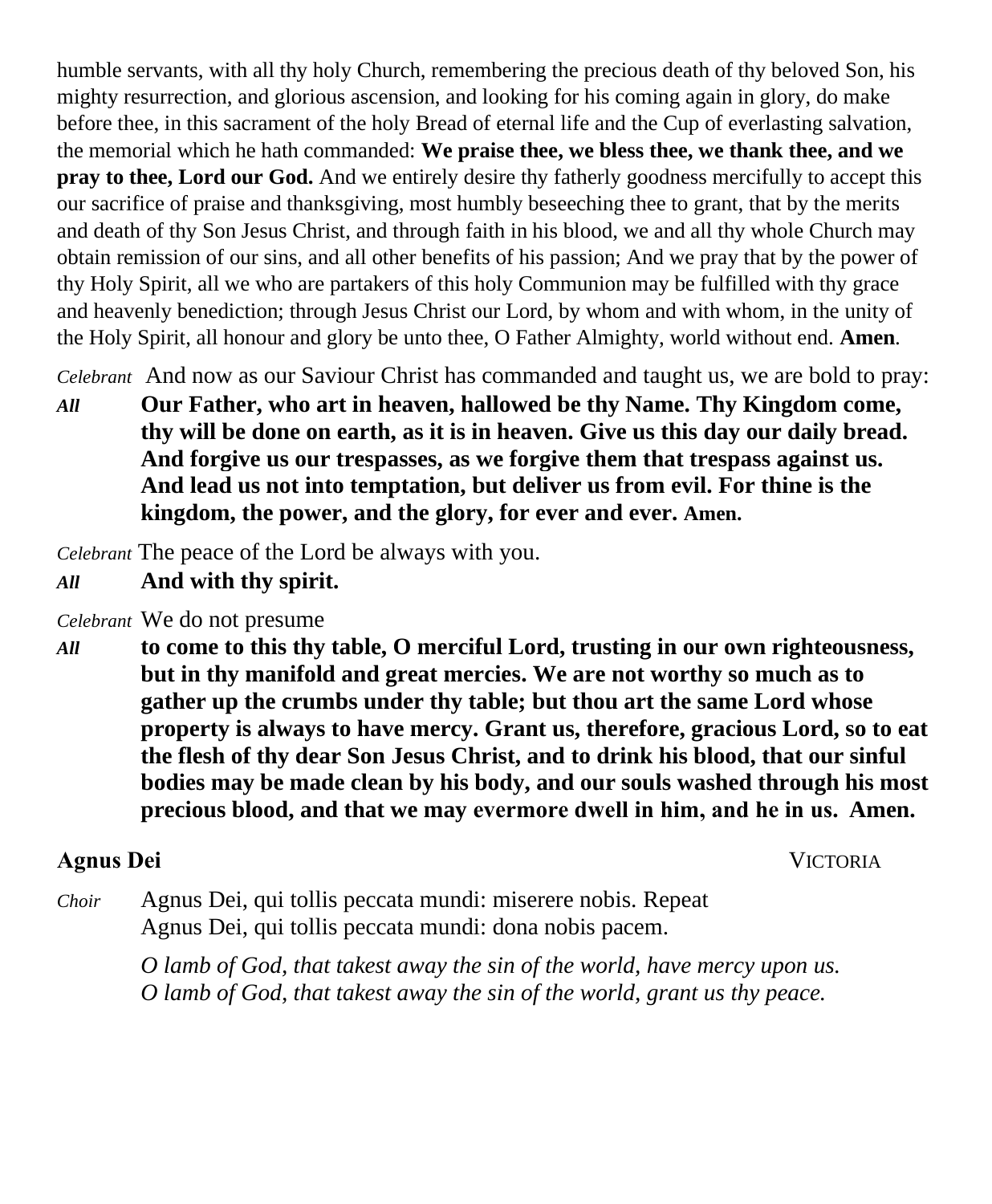humble servants, with all thy holy Church, remembering the precious death of thy beloved Son, his mighty resurrection, and glorious ascension, and looking for his coming again in glory, do make before thee, in this sacrament of the holy Bread of eternal life and the Cup of everlasting salvation, the memorial which he hath commanded: **We praise thee, we bless thee, we thank thee, and we pray to thee, Lord our God.** And we entirely desire thy fatherly goodness mercifully to accept this our sacrifice of praise and thanksgiving, most humbly beseeching thee to grant, that by the merits and death of thy Son Jesus Christ, and through faith in his blood, we and all thy whole Church may obtain remission of our sins, and all other benefits of his passion; And we pray that by the power of thy Holy Spirit, all we who are partakers of this holy Communion may be fulfilled with thy grace and heavenly benediction; through Jesus Christ our Lord, by whom and with whom, in the unity of the Holy Spirit, all honour and glory be unto thee, O Father Almighty, world without end. **Amen**.

*Celebrant* And now as our Saviour Christ has commanded and taught us, we are bold to pray:

*All* **Our Father, who art in heaven, hallowed be thy Name. Thy Kingdom come, thy will be done on earth, as it is in heaven. Give us this day our daily bread. And forgive us our trespasses, as we forgive them that trespass against us. And lead us not into temptation, but deliver us from evil. For thine is the kingdom, the power, and the glory, for ever and ever. Amen.**

*Celebrant* The peace of the Lord be always with you.

*All* **And with thy spirit.**

*Celebrant* We do not presume

*All* **to come to this thy table, O merciful Lord, trusting in our own righteousness, but in thy manifold and great mercies. We are not worthy so much as to gather up the crumbs under thy table; but thou art the same Lord whose property is always to have mercy. Grant us, therefore, gracious Lord, so to eat the flesh of thy dear Son Jesus Christ, and to drink his blood, that our sinful bodies may be made clean by his body, and our souls washed through his most precious blood, and that we may evermore dwell in him, and he in us.  Amen.**

#### **Agnus Dei** VICTORIA

*Choir* Agnus Dei, qui tollis peccata mundi: miserere nobis. Repeat Agnus Dei, qui tollis peccata mundi: dona nobis pacem.

> *O lamb of God, that takest away the sin of the world, have mercy upon us. O lamb of God, that takest away the sin of the world, grant us thy peace.*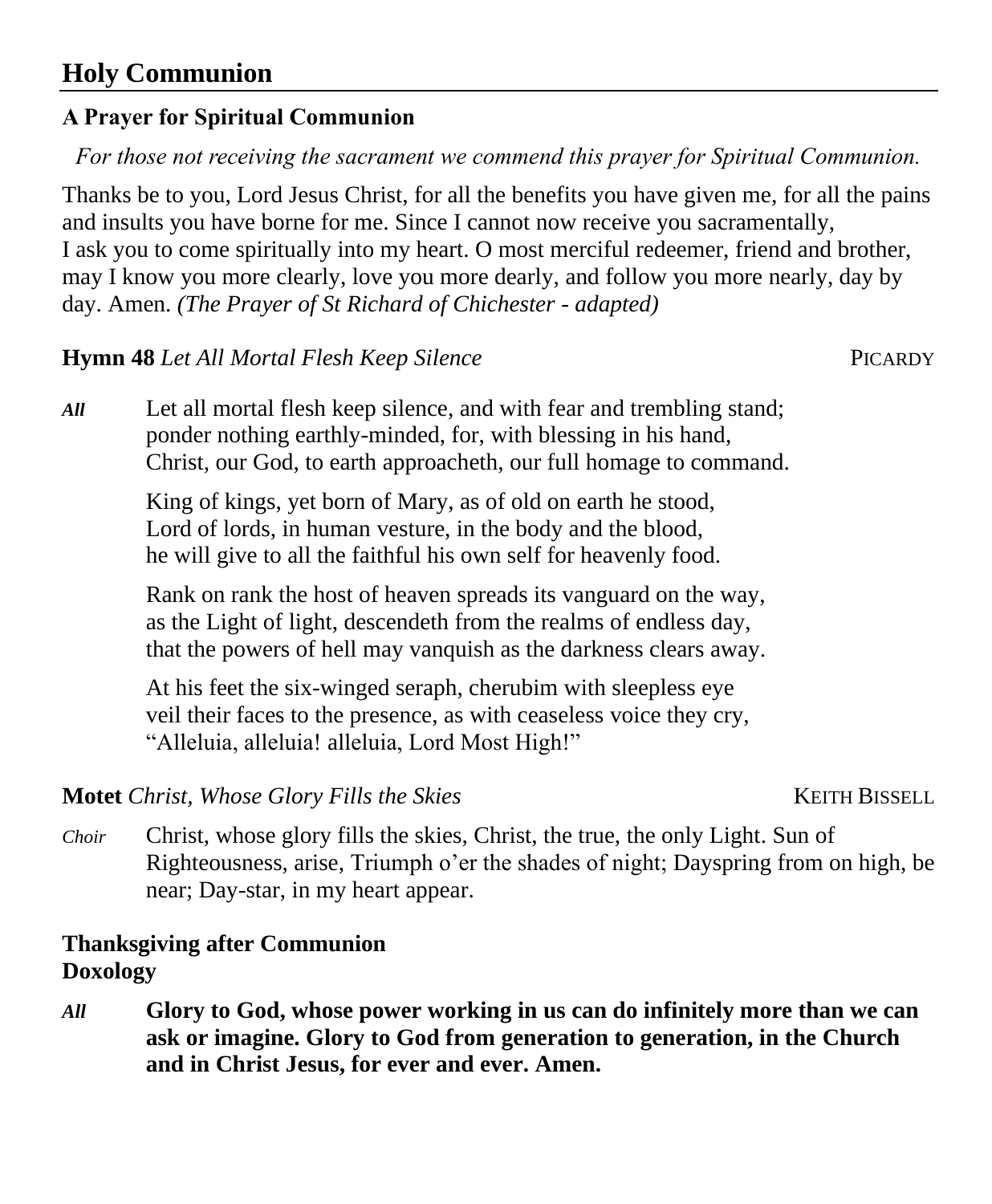# **Holy Communion**

# **A Prayer for Spiritual Communion**

*For those not receiving the sacrament we commend this prayer for Spiritual Communion.*

Thanks be to you, Lord Jesus Christ, for all the benefits you have given me, for all the pains and insults you have borne for me. Since I cannot now receive you sacramentally, I ask you to come spiritually into my heart. O most merciful redeemer, friend and brother, may I know you more clearly, love you more dearly, and follow you more nearly, day by day. Amen. *(The Prayer of St Richard of Chichester - adapted)*

# **Hymn 48** *Let All Mortal Flesh Keep Silence* PICARDY

*All* Let all mortal flesh keep silence, and with fear and trembling stand; ponder nothing earthly-minded, for, with blessing in his hand, Christ, our God, to earth approacheth, our full homage to command.

> King of kings, yet born of Mary, as of old on earth he stood, Lord of lords, in human vesture, in the body and the blood, he will give to all the faithful his own self for heavenly food.

Rank on rank the host of heaven spreads its vanguard on the way, as the Light of light, descendeth from the realms of endless day, that the powers of hell may vanquish as the darkness clears away.

At his feet the six-winged seraph, cherubim with sleepless eye veil their faces to the presence, as with ceaseless voice they cry, "Alleluia, alleluia! alleluia, Lord Most High!"

**Motet** *Christ, Whose Glory Fills the Skies* KEITH BISSELL

*Choir* Christ, whose glory fills the skies, Christ, the true, the only Light. Sun of Righteousness, arise, Triumph o'er the shades of night; Dayspring from on high, be near; Day-star, in my heart appear.

## **Thanksgiving after Communion Doxology**

*All* **Glory to God, whose power working in us can do infinitely more than we can ask or imagine. Glory to God from generation to generation, in the Church and in Christ Jesus, for ever and ever. Amen.**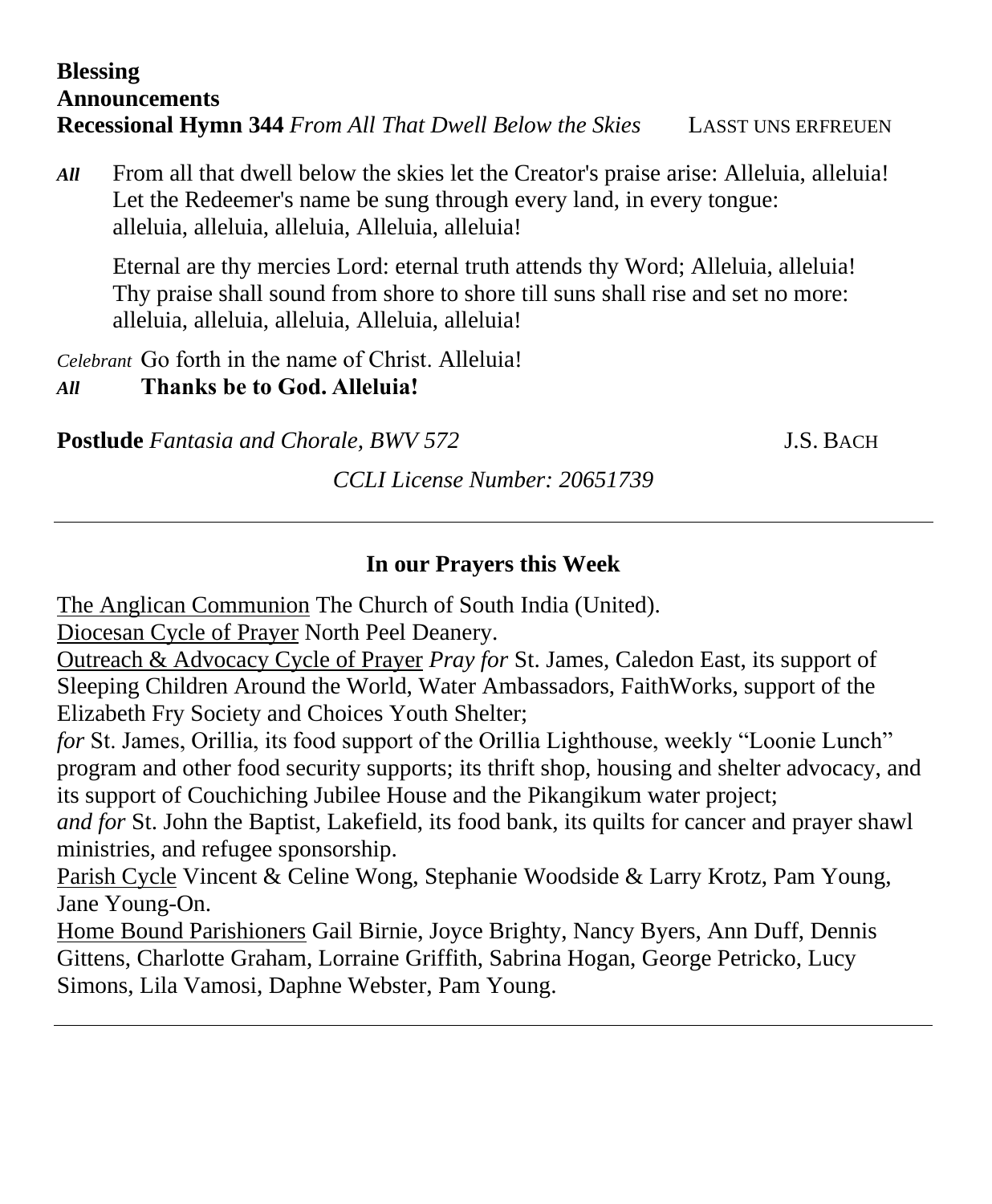#### **Blessing Announcements Recessional Hymn 344** *From All That Dwell Below the Skies* LASST UNS ERFREUEN

*All* From all that dwell below the skies let the Creator's praise arise: Alleluia, alleluia! Let the Redeemer's name be sung through every land, in every tongue: alleluia, alleluia, alleluia, Alleluia, alleluia!

Eternal are thy mercies Lord: eternal truth attends thy Word; Alleluia, alleluia! Thy praise shall sound from shore to shore till suns shall rise and set no more: alleluia, alleluia, alleluia, Alleluia, alleluia!

*Celebrant* Go forth in the name of Christ. Alleluia! *All* **Thanks be to God. Alleluia!**

**Postlude** *Fantasia and Chorale, BWV 572* J.S. BACH

*CCLI License Number: 20651739*

#### **In our Prayers this Week**

The Anglican Communion The Church of South India (United).

Diocesan Cycle of Prayer North Peel Deanery.

Outreach & Advocacy Cycle of Prayer *Pray for* St. James, Caledon East, its support of Sleeping Children Around the World, Water Ambassadors, FaithWorks, support of the Elizabeth Fry Society and Choices Youth Shelter;

*for* St. James, Orillia, its food support of the Orillia Lighthouse, weekly "Loonie Lunch" program and other food security supports; its thrift shop, housing and shelter advocacy, and its support of Couchiching Jubilee House and the Pikangikum water project;

*and for* St. John the Baptist, Lakefield, its food bank, its quilts for cancer and prayer shawl ministries, and refugee sponsorship.

Parish Cycle Vincent & Celine Wong, Stephanie Woodside & Larry Krotz, Pam Young, Jane Young-On.

Home Bound Parishioners Gail Birnie, Joyce Brighty, Nancy Byers, Ann Duff, Dennis Gittens, Charlotte Graham, Lorraine Griffith, Sabrina Hogan, George Petricko, Lucy Simons, Lila Vamosi, Daphne Webster, Pam Young.